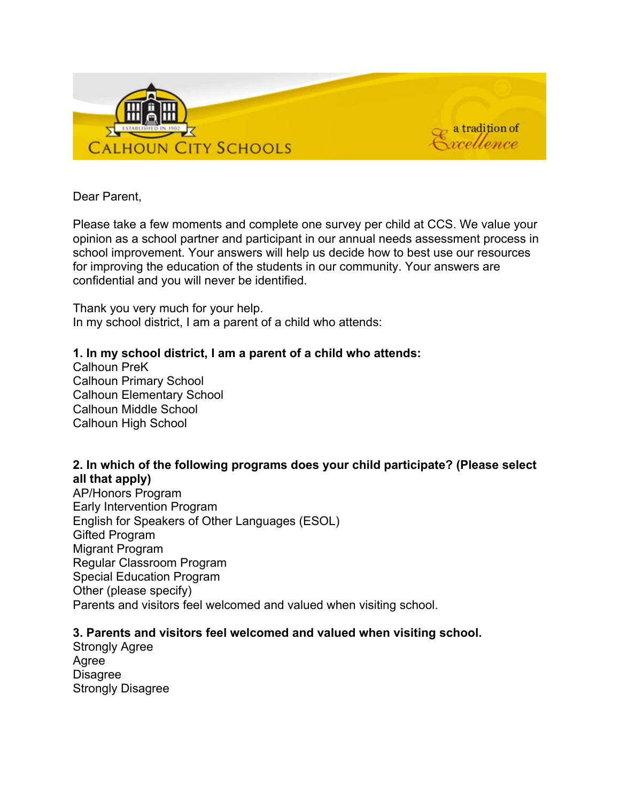

Dear Parent,

Please take a few moments and complete one survey per child at CCS. We value your opinion as a school partner and participant in our annual needs assessment process in school improvement. Your answers will help us decide how to best use our resources for improving the education of the students in our community. Your answers are confidential and you will never be identified.

Thank you very much for your help. In my school district, I am a parent of a child who attends:

# **1. In my school district, I am a parent of a child who attends:**

Calhoun PreK Calhoun Primary School Calhoun Elementary School Calhoun Middle School Calhoun High School

# **2. In which of the following programs does your child participate? (Please select all that apply)**

AP/Honors Program Early Intervention Program English for Speakers of Other Languages (ESOL) Gifted Program Migrant Program Regular Classroom Program Special Education Program Other (please specify) Parents and visitors feel welcomed and valued when visiting school.

# **3. Parents and visitors feel welcomed and valued when visiting school.**

Strongly Agree Agree **Disagree** Strongly Disagree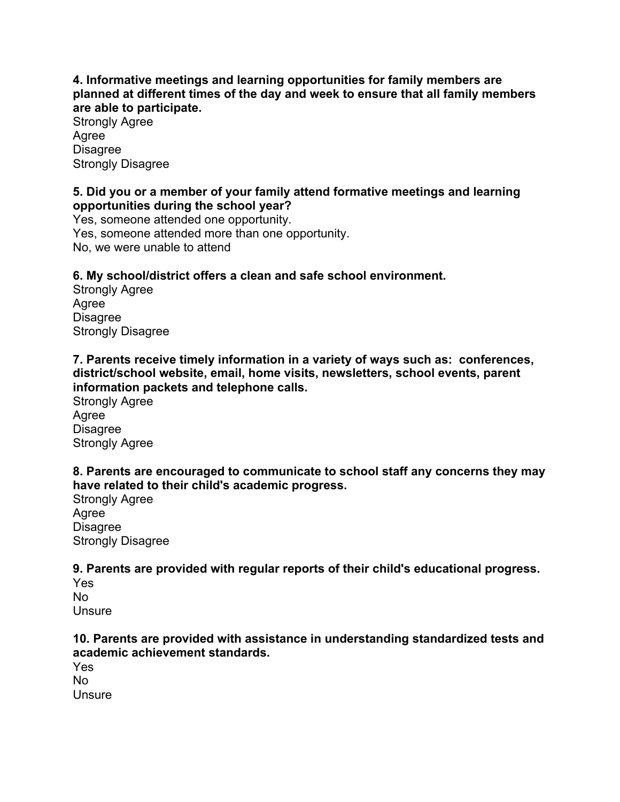### **4. Informative meetings and learning opportunities for family members are planned at different times of the day and week to ensure that all family members are able to participate.**

Strongly Agree Agree **Disagree** Strongly Disagree

### **5. Did you or a member of your family attend formative meetings and learning opportunities during the school year?**

Yes, someone attended one opportunity. Yes, someone attended more than one opportunity. No, we were unable to attend

# **6. My school/district offers a clean and safe school environment.**

Strongly Agree Agree **Disagree** Strongly Disagree

**7. Parents receive timely information in a variety of ways such as: conferences, district/school website, email, home visits, newsletters, school events, parent information packets and telephone calls.**

Strongly Agree Agree **Disagree** Strongly Agree

# **8. Parents are encouraged to communicate to school staff any concerns they may have related to their child's academic progress.**

Strongly Agree Agree Disagree Strongly Disagree

# **9. Parents are provided with regular reports of their child's educational progress.**

Yes No **Unsure** 

# **10. Parents are provided with assistance in understanding standardized tests and academic achievement standards.**

Yes No **Unsure**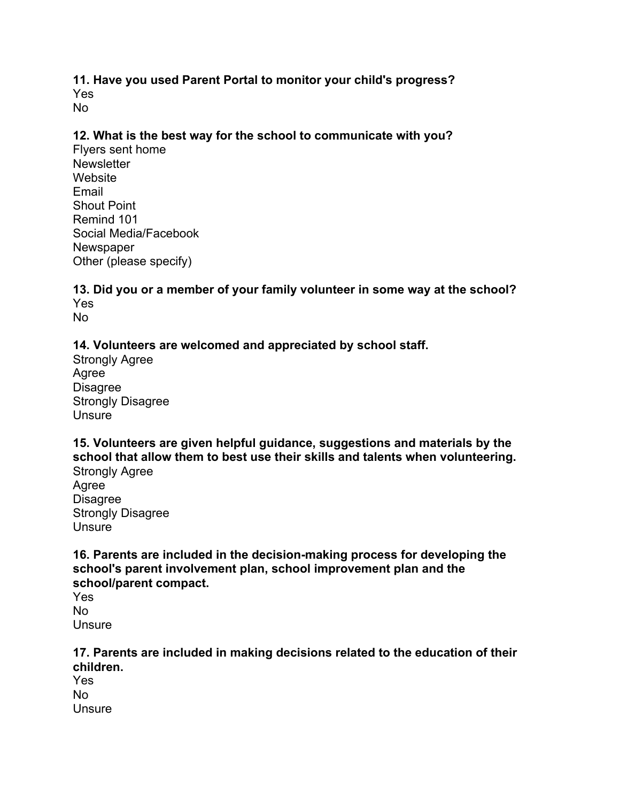#### **11. Have you used Parent Portal to monitor your child's progress?** Yes No

#### **12. What is the best way for the school to communicate with you?**

Flyers sent home **Newsletter Website** Email Shout Point Remind 101 Social Media/Facebook **Newspaper** Other (please specify)

#### **13. Did you or a member of your family volunteer in some way at the school?** Yes No

**14. Volunteers are welcomed and appreciated by school staff.**

Strongly Agree Agree Disagree Strongly Disagree **Unsure** 

**15. Volunteers are given helpful guidance, suggestions and materials by the school that allow them to best use their skills and talents when volunteering.**

Strongly Agree Agree Disagree Strongly Disagree **Unsure** 

**16. Parents are included in the decision-making process for developing the school's parent involvement plan, school improvement plan and the school/parent compact.**

Yes No **Unsure** 

#### **17. Parents are included in making decisions related to the education of their children.**

Yes No **Unsure**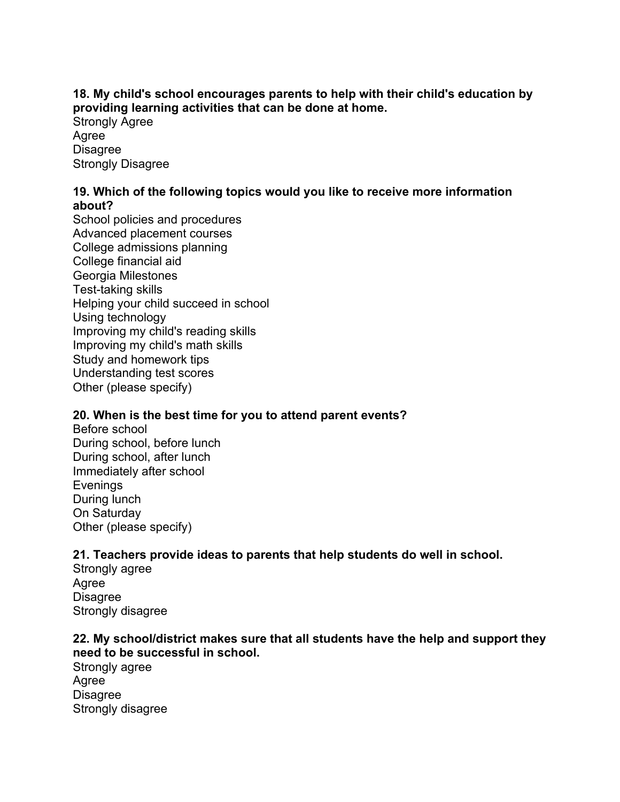# **18. My child's school encourages parents to help with their child's education by providing learning activities that can be done at home.**

Strongly Agree Agree **Disagree** Strongly Disagree

#### **19. Which of the following topics would you like to receive more information about?**

School policies and procedures Advanced placement courses College admissions planning College financial aid Georgia Milestones Test-taking skills Helping your child succeed in school Using technology Improving my child's reading skills Improving my child's math skills Study and homework tips Understanding test scores Other (please specify)

# **20. When is the best time for you to attend parent events?**

Before school During school, before lunch During school, after lunch Immediately after school Evenings During lunch On Saturday Other (please specify)

# **21. Teachers provide ideas to parents that help students do well in school.**

Strongly agree Agree **Disagree** Strongly disagree

# **22. My school/district makes sure that all students have the help and support they need to be successful in school.**

Strongly agree Agree **Disagree** Strongly disagree